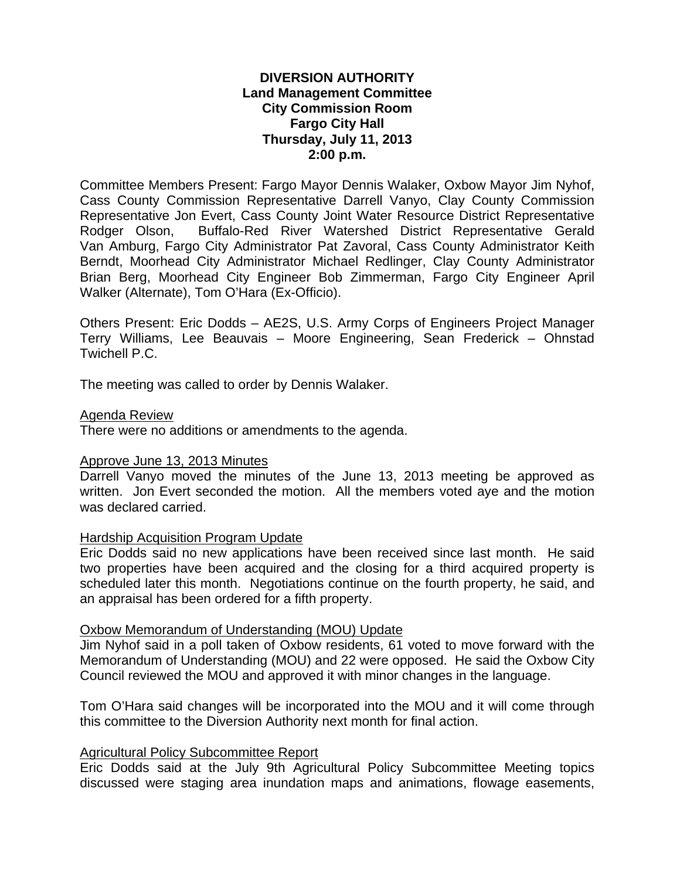# **DIVERSION AUTHORITY Land Management Committee City Commission Room Fargo City Hall Thursday, July 11, 2013 2:00 p.m.**

Committee Members Present: Fargo Mayor Dennis Walaker, Oxbow Mayor Jim Nyhof, Cass County Commission Representative Darrell Vanyo, Clay County Commission Representative Jon Evert, Cass County Joint Water Resource District Representative Rodger Olson, Buffalo-Red River Watershed District Representative Gerald Van Amburg, Fargo City Administrator Pat Zavoral, Cass County Administrator Keith Berndt, Moorhead City Administrator Michael Redlinger, Clay County Administrator Brian Berg, Moorhead City Engineer Bob Zimmerman, Fargo City Engineer April Walker (Alternate), Tom O'Hara (Ex-Officio).

Others Present: Eric Dodds – AE2S, U.S. Army Corps of Engineers Project Manager Terry Williams, Lee Beauvais – Moore Engineering, Sean Frederick – Ohnstad Twichell P.C.

The meeting was called to order by Dennis Walaker.

### Agenda Review

There were no additions or amendments to the agenda.

# Approve June 13, 2013 Minutes

Darrell Vanyo moved the minutes of the June 13, 2013 meeting be approved as written. Jon Evert seconded the motion. All the members voted aye and the motion was declared carried.

# Hardship Acquisition Program Update

Eric Dodds said no new applications have been received since last month. He said two properties have been acquired and the closing for a third acquired property is scheduled later this month. Negotiations continue on the fourth property, he said, and an appraisal has been ordered for a fifth property.

#### Oxbow Memorandum of Understanding (MOU) Update

Jim Nyhof said in a poll taken of Oxbow residents, 61 voted to move forward with the Memorandum of Understanding (MOU) and 22 were opposed. He said the Oxbow City Council reviewed the MOU and approved it with minor changes in the language.

Tom O'Hara said changes will be incorporated into the MOU and it will come through this committee to the Diversion Authority next month for final action.

# Agricultural Policy Subcommittee Report

Eric Dodds said at the July 9th Agricultural Policy Subcommittee Meeting topics discussed were staging area inundation maps and animations, flowage easements,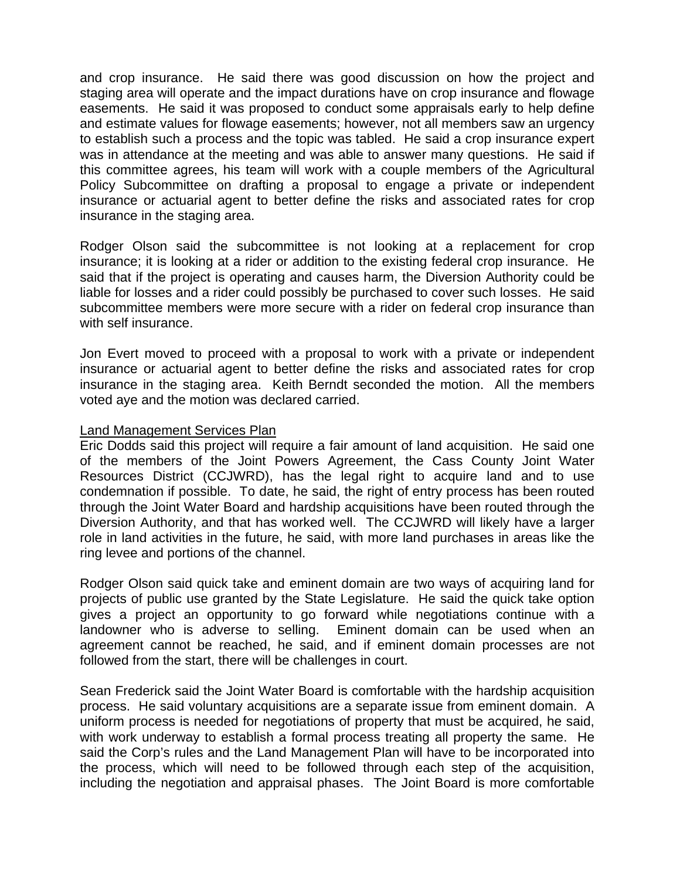and crop insurance. He said there was good discussion on how the project and staging area will operate and the impact durations have on crop insurance and flowage easements.He said it was proposed to conduct some appraisals early to help define and estimate values for flowage easements; however, not all members saw an urgency to establish such a process and the topic was tabled. He said a crop insurance expert was in attendance at the meeting and was able to answer many questions. He said if this committee agrees, his team will work with a couple members of the Agricultural Policy Subcommittee on drafting a proposal to engage a private or independent insurance or actuarial agent to better define the risks and associated rates for crop insurance in the staging area.

Rodger Olson said the subcommittee is not looking at a replacement for crop insurance; it is looking at a rider or addition to the existing federal crop insurance. He said that if the project is operating and causes harm, the Diversion Authority could be liable for losses and a rider could possibly be purchased to cover such losses. He said subcommittee members were more secure with a rider on federal crop insurance than with self insurance.

Jon Evert moved to proceed with a proposal to work with a private or independent insurance or actuarial agent to better define the risks and associated rates for crop insurance in the staging area. Keith Berndt seconded the motion. All the members voted aye and the motion was declared carried.

### Land Management Services Plan

Eric Dodds said this project will require a fair amount of land acquisition. He said one of the members of the Joint Powers Agreement, the Cass County Joint Water Resources District (CCJWRD), has the legal right to acquire land and to use condemnation if possible. To date, he said, the right of entry process has been routed through the Joint Water Board and hardship acquisitions have been routed through the Diversion Authority, and that has worked well. The CCJWRD will likely have a larger role in land activities in the future, he said, with more land purchases in areas like the ring levee and portions of the channel.

Rodger Olson said quick take and eminent domain are two ways of acquiring land for projects of public use granted by the State Legislature. He said the quick take option gives a project an opportunity to go forward while negotiations continue with a landowner who is adverse to selling. Eminent domain can be used when an agreement cannot be reached, he said, and if eminent domain processes are not followed from the start, there will be challenges in court.

Sean Frederick said the Joint Water Board is comfortable with the hardship acquisition process. He said voluntary acquisitions are a separate issue from eminent domain. A uniform process is needed for negotiations of property that must be acquired, he said, with work underway to establish a formal process treating all property the same. He said the Corp's rules and the Land Management Plan will have to be incorporated into the process, which will need to be followed through each step of the acquisition, including the negotiation and appraisal phases. The Joint Board is more comfortable